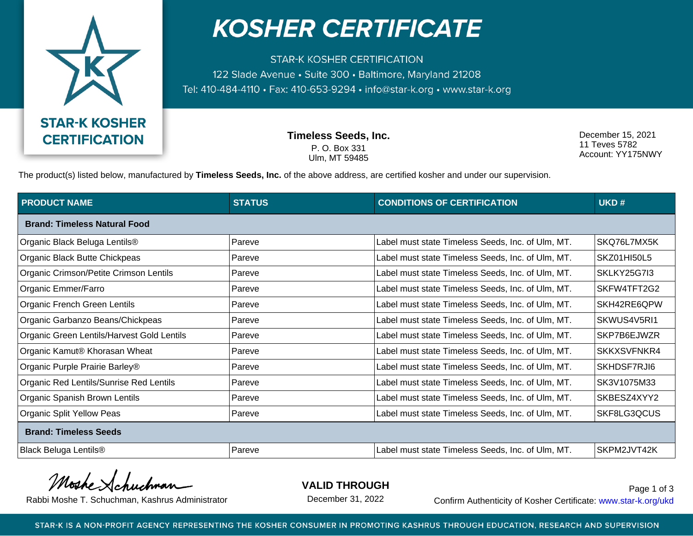

## **KOSHER CERTIFICATE**

**STAR-K KOSHER CERTIFICATION** 122 Slade Avenue • Suite 300 • Baltimore, Maryland 21208 Tel: 410-484-4110 · Fax: 410-653-9294 · info@star-k.org · www.star-k.org

> **Timeless Seeds, Inc.** P. O. Box 331 Ulm, MT 59485

December 15, 2021 11 Teves 5782 Account: YY175NWY

The product(s) listed below, manufactured by **Timeless Seeds, Inc.** of the above address, are certified kosher and under our supervision.

| <b>PRODUCT NAME</b>                        | <b>STATUS</b> | <b>CONDITIONS OF CERTIFICATION</b>                | UKD#               |  |  |
|--------------------------------------------|---------------|---------------------------------------------------|--------------------|--|--|
| <b>Brand: Timeless Natural Food</b>        |               |                                                   |                    |  |  |
| Organic Black Beluga Lentils®              | Pareve        | Label must state Timeless Seeds, Inc. of Ulm, MT. | SKQ76L7MX5K        |  |  |
| Organic Black Butte Chickpeas              | Pareve        | Label must state Timeless Seeds, Inc. of Ulm, MT. | SKZ01HI50L5        |  |  |
| Organic Crimson/Petite Crimson Lentils     | Pareve        | Label must state Timeless Seeds, Inc. of Ulm, MT. | SKLKY25G7I3        |  |  |
| Organic Emmer/Farro                        | Pareve        | Label must state Timeless Seeds, Inc. of Ulm, MT. | SKFW4TFT2G2        |  |  |
| Organic French Green Lentils               | Pareve        | Label must state Timeless Seeds, Inc. of Ulm, MT. | SKH42RE6QPW        |  |  |
| Organic Garbanzo Beans/Chickpeas           | Pareve        | Label must state Timeless Seeds, Inc. of Ulm, MT. | SKWUS4V5RI1        |  |  |
| Organic Green Lentils/Harvest Gold Lentils | Pareve        | Label must state Timeless Seeds, Inc. of Ulm, MT. | SKP7B6EJWZR        |  |  |
| Organic Kamut® Khorasan Wheat              | Pareve        | Label must state Timeless Seeds, Inc. of Ulm, MT. | <b>SKKXSVFNKR4</b> |  |  |
| Organic Purple Prairie Barley®             | Pareve        | Label must state Timeless Seeds, Inc. of Ulm, MT. | SKHDSF7RJI6        |  |  |
| Organic Red Lentils/Sunrise Red Lentils    | Pareve        | Label must state Timeless Seeds, Inc. of Ulm, MT. | SK3V1075M33        |  |  |
| Organic Spanish Brown Lentils              | Pareve        | Label must state Timeless Seeds, Inc. of Ulm, MT. | SKBESZ4XYY2        |  |  |
| <b>Organic Split Yellow Peas</b>           | Pareve        | Label must state Timeless Seeds, Inc. of Ulm, MT. | SKF8LG3QCUS        |  |  |
| <b>Brand: Timeless Seeds</b>               |               |                                                   |                    |  |  |
| <b>Black Beluga Lentils®</b>               | Pareve        | Label must state Timeless Seeds, Inc. of Ulm, MT. | SKPM2JVT42K        |  |  |

Moshe

**VALID THROUGH**

December 31, 2022

Rabbi Moshe T. Schuchman, Kashrus Administrator December 31, 2022 Confirm Authenticity of Kosher Certificate: www.star-k.org/ukd Page 1 of 3

STAR-K IS A NON-PROFIT AGENCY REPRESENTING THE KOSHER CONSUMER IN PROMOTING KASHRUS THROUGH EDUCATION, RESEARCH AND SUPERVISION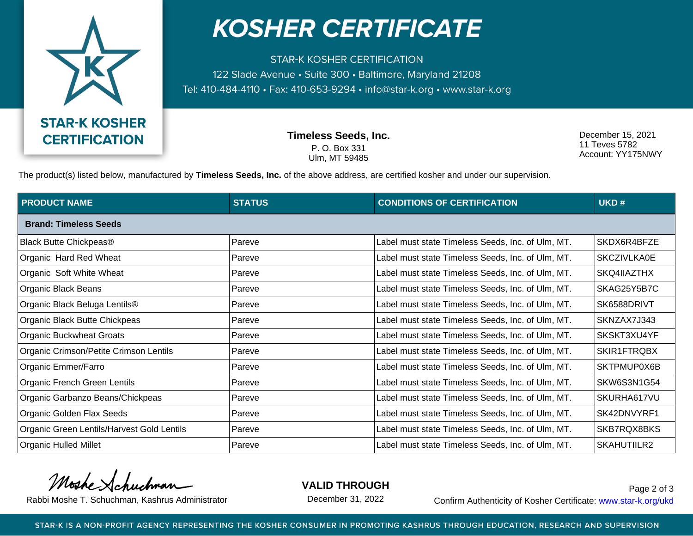

## **KOSHER CERTIFICATE**

**STAR-K KOSHER CERTIFICATION** 122 Slade Avenue • Suite 300 • Baltimore, Maryland 21208 Tel: 410-484-4110 · Fax: 410-653-9294 · info@star-k.org · www.star-k.org

> **Timeless Seeds, Inc.** P. O. Box 331 Ulm, MT 59485

December 15, 2021 11 Teves 5782 Account: YY175NWY

The product(s) listed below, manufactured by **Timeless Seeds, Inc.** of the above address, are certified kosher and under our supervision.

| <b>PRODUCT NAME</b>                        | <b>STATUS</b> | <b>CONDITIONS OF CERTIFICATION</b>                | UKD#               |  |  |
|--------------------------------------------|---------------|---------------------------------------------------|--------------------|--|--|
| <b>Brand: Timeless Seeds</b>               |               |                                                   |                    |  |  |
| <b>Black Butte Chickpeas®</b>              | Pareve        | Label must state Timeless Seeds, Inc. of Ulm, MT. | SKDX6R4BFZE        |  |  |
| Organic Hard Red Wheat                     | Pareve        | Label must state Timeless Seeds, Inc. of Ulm, MT. | <b>SKCZIVLKA0E</b> |  |  |
| Organic Soft White Wheat                   | Pareve        | Label must state Timeless Seeds, Inc. of Ulm, MT. | SKQ4IIAZTHX        |  |  |
| Organic Black Beans                        | Pareve        | Label must state Timeless Seeds, Inc. of Ulm, MT. | SKAG25Y5B7C        |  |  |
| Organic Black Beluga Lentils®              | Pareve        | Label must state Timeless Seeds, Inc. of Ulm, MT. | SK6588DRIVT        |  |  |
| Organic Black Butte Chickpeas              | Pareve        | Label must state Timeless Seeds, Inc. of Ulm, MT. | SKNZAX7J343        |  |  |
| Organic Buckwheat Groats                   | Pareve        | Label must state Timeless Seeds, Inc. of Ulm, MT. | SKSKT3XU4YF        |  |  |
| Organic Crimson/Petite Crimson Lentils     | Pareve        | Label must state Timeless Seeds, Inc. of Ulm, MT. | SKIR1FTRQBX        |  |  |
| Organic Emmer/Farro                        | Pareve        | Label must state Timeless Seeds, Inc. of Ulm, MT. | SKTPMUP0X6B        |  |  |
| Organic French Green Lentils               | Pareve        | Label must state Timeless Seeds, Inc. of Ulm, MT. | SKW6S3N1G54        |  |  |
| Organic Garbanzo Beans/Chickpeas           | Pareve        | Label must state Timeless Seeds, Inc. of Ulm, MT. | SKURHA617VU        |  |  |
| Organic Golden Flax Seeds                  | Pareve        | Label must state Timeless Seeds, Inc. of Ulm, MT. | SK42DNVYRF1        |  |  |
| Organic Green Lentils/Harvest Gold Lentils | Pareve        | Label must state Timeless Seeds, Inc. of Ulm, MT. | SKB7RQX8BKS        |  |  |
| Organic Hulled Millet                      | Pareve        | Label must state Timeless Seeds, Inc. of Ulm, MT. | SKAHUTIILR2        |  |  |

Moshe

**VALID THROUGH**

December 31, 2022

Rabbi Moshe T. Schuchman, Kashrus Administrator December 31, 2022 Confirm Authenticity of Kosher Certificate: www.star-k.org/ukd Page 2 of 3

STAR-K IS A NON-PROFIT AGENCY REPRESENTING THE KOSHER CONSUMER IN PROMOTING KASHRUS THROUGH EDUCATION, RESEARCH AND SUPERVISION